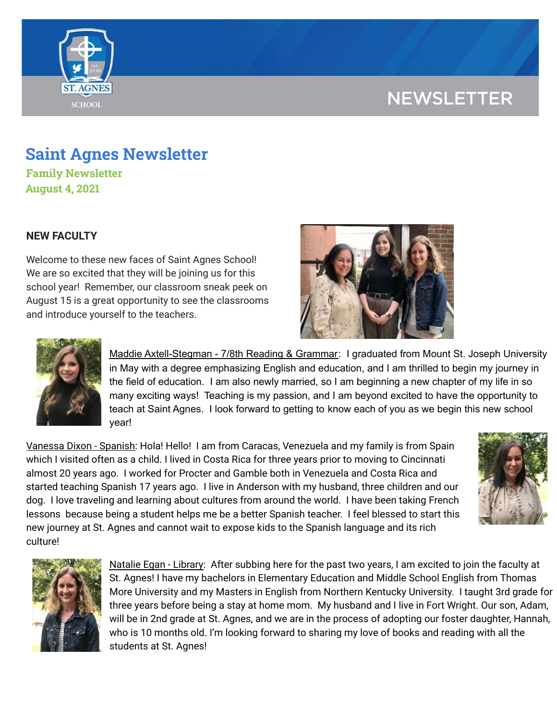# **NEWSLETTER**



## **Saint Agnes Newsletter**

**Family Newsletter August 4, 2021**

## **NEW FACULTY**

Welcome to these new faces of Saint Agnes School! We are so excited that they will be joining us for this school year! Remember, our classroom sneak peek on August 15 is a great opportunity to see the classrooms and introduce yourself to the teachers.





Maddie Axtell-Stegman - 7/8th Reading & Grammar: I graduated from Mount St. Joseph University in May with a degree emphasizing English and education, and I am thrilled to begin my journey in the field of education. I am also newly married, so I am beginning a new chapter of my life in so many exciting ways! Teaching is my passion, and I am beyond excited to have the opportunity to teach at Saint Agnes. I look forward to getting to know each of you as we begin this new school year!

Vanessa Dixon - Spanish: Hola! Hello! I am from Caracas, Venezuela and my family is from Spain which I visited often as a child. I lived in Costa Rica for three years prior to moving to Cincinnati almost 20 years ago. I worked for Procter and Gamble both in Venezuela and Costa Rica and started teaching Spanish 17 years ago. I live in Anderson with my husband, three children and our dog. I love traveling and learning about cultures from around the world. I have been taking French lessons because being a student helps me be a better Spanish teacher. I feel blessed to start this new journey at St. Agnes and cannot wait to expose kids to the Spanish language and its rich culture!





Natalie Egan - Library: After subbing here for the past two years, I am excited to join the faculty at St. Agnes! I have my bachelors in Elementary Education and Middle School English from Thomas More University and my Masters in English from Northern Kentucky University. I taught 3rd grade for three years before being a stay at home mom. My husband and I live in Fort Wright. Our son, Adam, will be in 2nd grade at St. Agnes, and we are in the process of adopting our foster daughter, Hannah, who is 10 months old. I'm looking forward to sharing my love of books and reading with all the students at St. Agnes!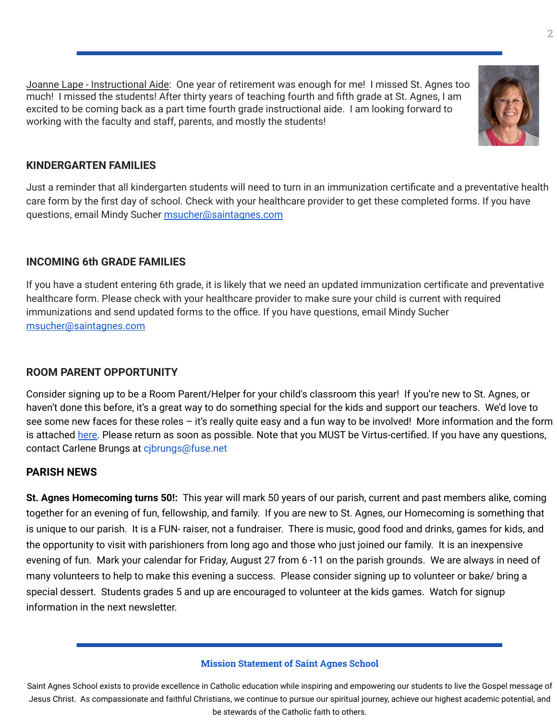Joanne Lape - Instructional Aide: One year of retirement was enough for me! I missed St. Agnes too much! I missed the students! After thirty years of teaching fourth and fifth grade at St. Agnes, I am excited to be coming back as a part time fourth grade instructional aide. I am looking forward to working with the faculty and staff, parents, and mostly the students!



## **KINDERGARTEN FAMILIES**

Just a reminder that all kindergarten students will need to turn in an immunization certificate and a preventative health care form by the first day of school. Check with your healthcare provider to get these completed forms. If you have questions, email Mindy Sucher [msucher@saintagnes.com](mailto:msucher@saintagnes.com)

### **INCOMING 6th GRADE FAMILIES**

If you have a student entering 6th grade, it is likely that we need an updated immunization certificate and preventative healthcare form. Please check with your healthcare provider to make sure your child is current with required immunizations and send updated forms to the office. If you have questions, email Mindy Sucher [msucher@saintagnes.com](mailto:msucher@saintagnes.com)

## **ROOM PARENT OPPORTUNITY**

Consider signing up to be a Room Parent/Helper for your child's classroom this year! If you're new to St. Agnes, or haven't done this before, it's a great way to do something special for the kids and support our teachers. We'd love to see some new faces for these roles - it's really quite easy and a fun way to be involved! More information and the form is attached [here.](https://school.saintagnes.com/wp-content/uploads/2021/08/Room-Parent-Signup-2021-22_Final.pdf) Please return as soon as possible. Note that you MUST be Virtus-certified. If you have any questions, contact Carlene Brungs at cjbrungs@fuse.net

### **PARISH NEWS**

**St. Agnes Homecoming turns 50!:** This year will mark 50 years of our parish, current and past members alike, coming together for an evening of fun, fellowship, and family. If you are new to St. Agnes, our Homecoming is something that is unique to our parish. It is a FUN- raiser, not a fundraiser. There is music, good food and drinks, games for kids, and the opportunity to visit with parishioners from long ago and those who just joined our family. It is an inexpensive evening of fun. Mark your calendar for Friday, August 27 from 6 -11 on the parish grounds. We are always in need of many volunteers to help to make this evening a success. Please consider signing up to volunteer or bake/ bring a special dessert. Students grades 5 and up are encouraged to volunteer at the kids games. Watch for signup information in the next newsletter.

#### **Mission Statement of Saint Agnes School**

Saint Agnes School exists to provide excellence in Catholic education while inspiring and empowering our students to live the Gospel message of Jesus Christ. As compassionate and faithful Christians, we continue to pursue our spiritual journey, achieve our highest academic potential, and be stewards of the Catholic faith to others.